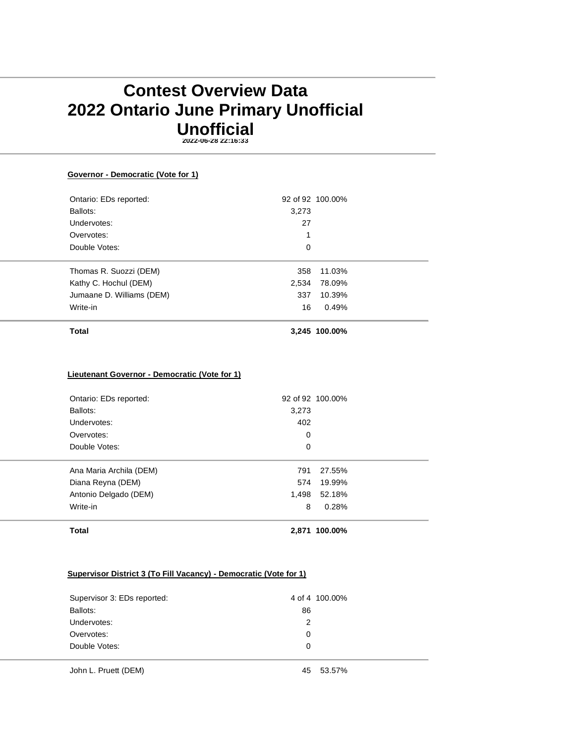# **Contest Overview Data 2022 Ontario June Primary Unofficial Unofficial 2022-06-28 22:16:33**

**Governor - Democratic (Vote for 1)**

Ontario: EDs reported: 92 of 92 100.00% Ballots: 3,273 Undervotes: 27 Overvotes: 1 Double Votes: 0 Thomas R. Suozzi (DEM) 358 11.03% Kathy C. Hochul (DEM) 2,534 78.09% Jumaane D. Williams (DEM) 337 10.39% Write-in 16 0.49% **Total 3,245 100.00% Lieutenant Governor - Democratic (Vote for 1)** Ontario: EDs reported: 92 of 92 100.00% Ballots: 3,273 Undervotes: 402 Overvotes: 0 Double Votes: 0 Ana Maria Archila (DEM) 791 27.55% Diana Reyna (DEM) 574 19.99% Antonio Delgado (DEM) 1,498 52.18% Write-in 8 0.28%

## **Supervisor District 3 (To Fill Vacancy) - Democratic (Vote for 1)**

**Total 2,871 100.00%**

| Supervisor 3: EDs reported: |    | 4 of 4 100,00% |
|-----------------------------|----|----------------|
| Ballots:                    | 86 |                |
| Undervotes:                 | 2  |                |
| Overvotes:                  | 0  |                |
| Double Votes:               | 0  |                |
|                             |    |                |

John L. Pruett (DEM) 45 53.57%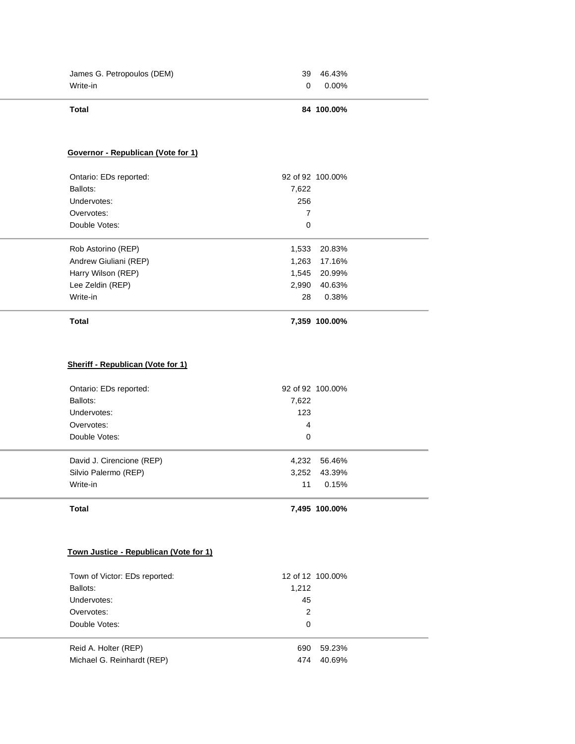| James G. Petropoulos (DEM) |   | 39 46.43% |
|----------------------------|---|-----------|
| Write-in                   | റ | 0.00%     |

## **Total 84 100.00%**

# **Governor - Republican (Vote for 1)**

| <b>Total</b>           |       | 7.359 100.00%    |  |
|------------------------|-------|------------------|--|
| Write-in               | 28    | 0.38%            |  |
| Lee Zeldin (REP)       | 2,990 | 40.63%           |  |
| Harry Wilson (REP)     | 1.545 | 20.99%           |  |
| Andrew Giuliani (REP)  | 1,263 | 17.16%           |  |
| Rob Astorino (REP)     | 1,533 | 20.83%           |  |
| Double Votes:          | 0     |                  |  |
| Overvotes:             | 7     |                  |  |
| Undervotes:            | 256   |                  |  |
| Ballots:               | 7,622 |                  |  |
| Ontario: EDs reported: |       | 92 of 92 100,00% |  |

# **Sheriff - Republican (Vote for 1)**

| Ontario: EDs reported:<br>Ballots:<br>Undervotes:<br>Overvotes:<br>Double Votes: | 7,622<br>123<br>4<br>0 | 92 of 92 100,00% |  |
|----------------------------------------------------------------------------------|------------------------|------------------|--|
| David J. Cirencione (REP)                                                        | 4,232                  | 56.46%           |  |
| Silvio Palermo (REP)                                                             | 3,252                  | 43.39%           |  |
| Write-in                                                                         | 11                     | 0.15%            |  |

# **Total 7,495 100.00%**

## **Town Justice - Republican (Vote for 1)**

| Town of Victor: EDs reported: |       | 12 of 12 100,00% |
|-------------------------------|-------|------------------|
| Ballots:                      | 1,212 |                  |
| Undervotes:                   | 45    |                  |
| Overvotes:                    | 2     |                  |
| Double Votes:                 | 0     |                  |
|                               |       |                  |
| Reid A. Holter (REP)          | 690   | 59.23%           |
| Michael G. Reinhardt (REP)    | 474   | 40.69%           |